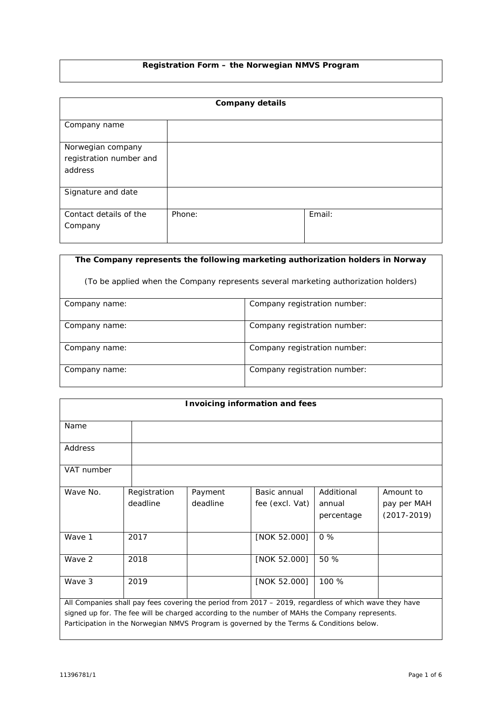# **Registration Form – the Norwegian NMVS Program**

| <b>Company details</b>                                  |        |        |  |  |  |  |
|---------------------------------------------------------|--------|--------|--|--|--|--|
| Company name                                            |        |        |  |  |  |  |
| Norwegian company<br>registration number and<br>address |        |        |  |  |  |  |
| Signature and date                                      |        |        |  |  |  |  |
| Contact details of the<br>Company                       | Phone: | Email: |  |  |  |  |

| The Company represents the following marketing authorization holders in Norway      |                              |  |  |  |  |
|-------------------------------------------------------------------------------------|------------------------------|--|--|--|--|
| (To be applied when the Company represents several marketing authorization holders) |                              |  |  |  |  |
| Company name:                                                                       | Company registration number: |  |  |  |  |
| Company name:                                                                       | Company registration number: |  |  |  |  |
| Company name:                                                                       | Company registration number: |  |  |  |  |
| Company name:                                                                       | Company registration number: |  |  |  |  |

| <b>Invoicing information and fees</b>                                                                 |              |          |                 |            |                 |  |
|-------------------------------------------------------------------------------------------------------|--------------|----------|-----------------|------------|-----------------|--|
| Name                                                                                                  |              |          |                 |            |                 |  |
| Address                                                                                               |              |          |                 |            |                 |  |
| VAT number                                                                                            |              |          |                 |            |                 |  |
| Wave No.                                                                                              | Registration | Payment  | Basic annual    | Additional | Amount to       |  |
|                                                                                                       | deadline     | deadline | fee (excl. Vat) | annual     | pay per MAH     |  |
|                                                                                                       |              |          |                 | percentage | $(2017 - 2019)$ |  |
| Wave 1                                                                                                | 2017         |          | [NOK 52.000]    | $0\%$      |                 |  |
| Wave 2                                                                                                | 2018         |          | [NOK 52.000]    | 50 %       |                 |  |
| Wave 3                                                                                                | 2019         |          | [NOK 52.000]    | 100 %      |                 |  |
| All Companies shall pay fees covering the period from 2017 - 2019, regardless of which wave they have |              |          |                 |            |                 |  |
| signed up for. The fee will be charged according to the number of MAHs the Company represents.        |              |          |                 |            |                 |  |
| Participation in the Norwegian NMVS Program is governed by the Terms & Conditions below.              |              |          |                 |            |                 |  |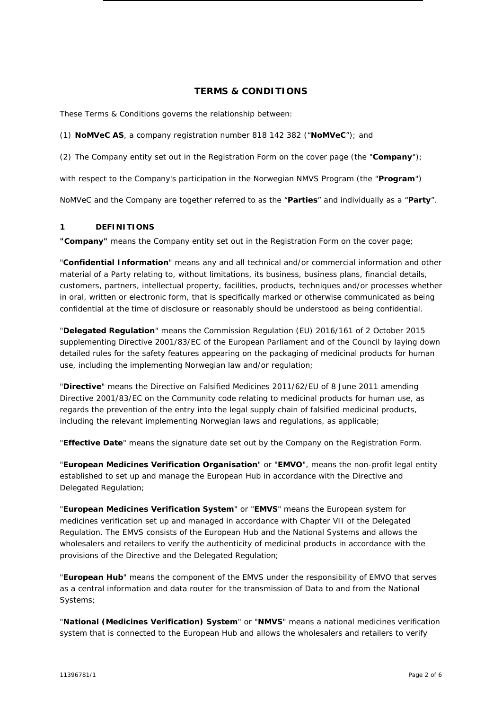# **TERMS & CONDITIONS**

These Terms & Conditions governs the relationship between:

(1) **NoMVeC AS**, a company registration number 818 142 382 ("**NoMVeC**"); and

(2) The Company entity set out in the Registration Form on the cover page (the "**Company**");

with respect to the Company's participation in the Norwegian NMVS Program (the "**Program**")

NoMVeC and the Company are together referred to as the "**Parties**" and individually as a "**Party**".

#### **1 DEFINITIONS**

**"Company"** means the Company entity set out in the Registration Form on the cover page;

"**Confidential Information**" means any and all technical and/or commercial information and other material of a Party relating to, without limitations, its business, business plans, financial details, customers, partners, intellectual property, facilities, products, techniques and/or processes whether in oral, written or electronic form, that is specifically marked or otherwise communicated as being confidential at the time of disclosure or reasonably should be understood as being confidential.

"**Delegated Regulation**" means the Commission Regulation (EU) 2016/161 of 2 October 2015 supplementing Directive 2001/83/EC of the European Parliament and of the Council by laying down detailed rules for the safety features appearing on the packaging of medicinal products for human use, including the implementing Norwegian law and/or regulation;

"**Directive**" means the Directive on Falsified Medicines 2011/62/EU of 8 June 2011 amending Directive 2001/83/EC on the Community code relating to medicinal products for human use, as regards the prevention of the entry into the legal supply chain of falsified medicinal products, including the relevant implementing Norwegian laws and regulations, as applicable;

"**Effective Date**" means the signature date set out by the Company on the Registration Form.

"**European Medicines Verification Organisation**" or "**EMVO**", means the non-profit legal entity established to set up and manage the European Hub in accordance with the Directive and Delegated Regulation;

"**European Medicines Verification System**" or "**EMVS**" means the European system for medicines verification set up and managed in accordance with Chapter VII of the Delegated Regulation. The EMVS consists of the European Hub and the National Systems and allows the wholesalers and retailers to verify the authenticity of medicinal products in accordance with the provisions of the Directive and the Delegated Regulation;

"**European Hub**" means the component of the EMVS under the responsibility of EMVO that serves as a central information and data router for the transmission of Data to and from the National Systems;

"**National (Medicines Verification) System**" or "**NMVS**" means a national medicines verification system that is connected to the European Hub and allows the wholesalers and retailers to verify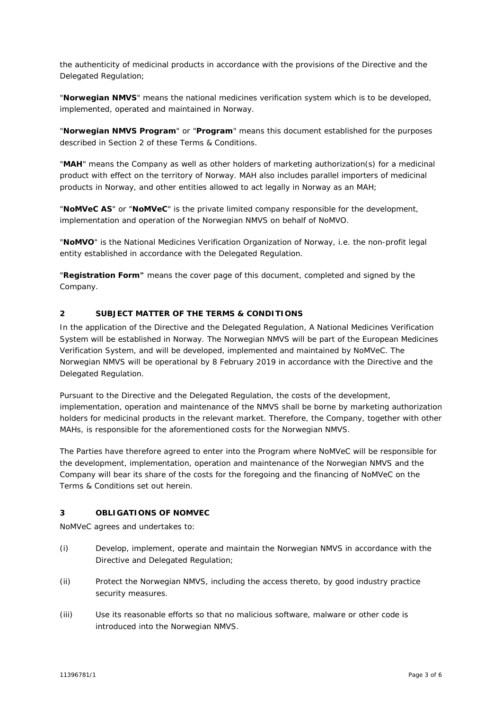the authenticity of medicinal products in accordance with the provisions of the Directive and the Delegated Regulation;

"**Norwegian NMVS**" means the national medicines verification system which is to be developed, implemented, operated and maintained in Norway.

"**Norwegian NMVS Program**" or "**Program**" means this document established for the purposes described in Section [2](#page-2-0) of these Terms & Conditions.

"**MAH**" means the Company as well as other holders of marketing authorization(s) for a medicinal product with effect on the territory of Norway. MAH also includes parallel importers of medicinal products in Norway, and other entities allowed to act legally in Norway as an MAH;

"**NoMVeC AS**" or "**NoMVeC**" is the private limited company responsible for the development, implementation and operation of the Norwegian NMVS on behalf of NoMVO.

"**NoMVO**" is the National Medicines Verification Organization of Norway, i.e. the non-profit legal entity established in accordance with the Delegated Regulation.

"**Registration Form"** means the cover page of this document, completed and signed by the Company.

## <span id="page-2-0"></span>**2 SUBJECT MATTER OF THE TERMS & CONDITIONS**

In the application of the Directive and the Delegated Regulation, A National Medicines Verification System will be established in Norway. The Norwegian NMVS will be part of the European Medicines Verification System, and will be developed, implemented and maintained by NoMVeC. The Norwegian NMVS will be operational by 8 February 2019 in accordance with the Directive and the Delegated Regulation.

Pursuant to the Directive and the Delegated Regulation, the costs of the development, implementation, operation and maintenance of the NMVS shall be borne by marketing authorization holders for medicinal products in the relevant market. Therefore, the Company, together with other MAHs, is responsible for the aforementioned costs for the Norwegian NMVS.

The Parties have therefore agreed to enter into the Program where NoMVeC will be responsible for the development, implementation, operation and maintenance of the Norwegian NMVS and the Company will bear its share of the costs for the foregoing and the financing of NoMVeC on the Terms & Conditions set out herein.

#### **3 OBLIGATIONS OF NOMVEC**

NoMVeC agrees and undertakes to:

- (i) Develop, implement, operate and maintain the Norwegian NMVS in accordance with the Directive and Delegated Regulation;
- (ii) Protect the Norwegian NMVS, including the access thereto, by good industry practice security measures.
- (iii) Use its reasonable efforts so that no malicious software, malware or other code is introduced into the Norwegian NMVS.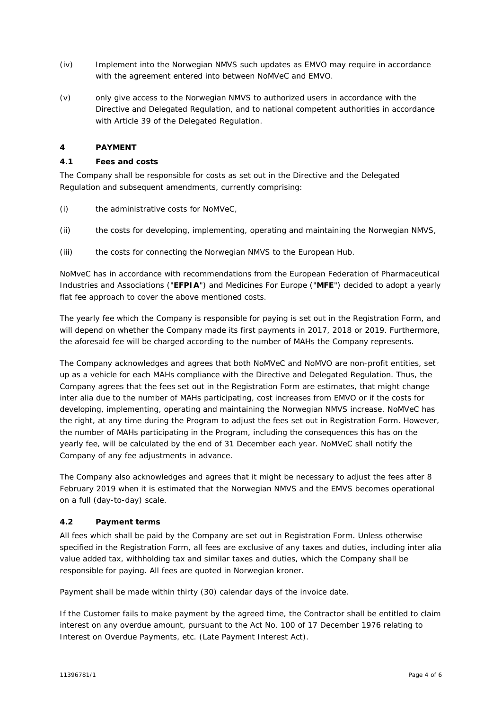- (iv) Implement into the Norwegian NMVS such updates as EMVO may require in accordance with the agreement entered into between NoMVeC and EMVO.
- (v) only give access to the Norwegian NMVS to authorized users in accordance with the Directive and Delegated Regulation, and to national competent authorities in accordance with Article 39 of the Delegated Regulation.

## **4 PAYMENT**

## **4.1 Fees and costs**

The Company shall be responsible for costs as set out in the Directive and the Delegated Regulation and subsequent amendments, currently comprising:

- (i) the administrative costs for NoMVeC,
- (ii) the costs for developing, implementing, operating and maintaining the Norwegian NMVS,
- (iii) the costs for connecting the Norwegian NMVS to the European Hub.

NoMveC has in accordance with recommendations from the European Federation of Pharmaceutical Industries and Associations ("**EFPIA**") and Medicines For Europe ("**MFE**") decided to adopt a yearly flat fee approach to cover the above mentioned costs.

The yearly fee which the Company is responsible for paying is set out in the Registration Form, and will depend on whether the Company made its first payments in 2017, 2018 or 2019. Furthermore, the aforesaid fee will be charged according to the number of MAHs the Company represents.

The Company acknowledges and agrees that both NoMVeC and NoMVO are non-profit entities, set up as a vehicle for each MAHs compliance with the Directive and Delegated Regulation. Thus, the Company agrees that the fees set out in the Registration Form are estimates, that might change inter alia due to the number of MAHs participating, cost increases from EMVO or if the costs for developing, implementing, operating and maintaining the Norwegian NMVS increase. NoMVeC has the right, at any time during the Program to adjust the fees set out in Registration Form. However, the number of MAHs participating in the Program, including the consequences this has on the yearly fee, will be calculated by the end of 31 December each year. NoMVeC shall notify the Company of any fee adjustments in advance.

The Company also acknowledges and agrees that it might be necessary to adjust the fees after 8 February 2019 when it is estimated that the Norwegian NMVS and the EMVS becomes operational on a full (day-to-day) scale.

## **4.2 Payment terms**

All fees which shall be paid by the Company are set out in Registration Form. Unless otherwise specified in the Registration Form, all fees are exclusive of any taxes and duties, including inter alia value added tax, withholding tax and similar taxes and duties, which the Company shall be responsible for paying. All fees are quoted in Norwegian kroner.

Payment shall be made within thirty (30) calendar days of the invoice date.

If the Customer fails to make payment by the agreed time, the Contractor shall be entitled to claim interest on any overdue amount, pursuant to the Act No. 100 of 17 December 1976 relating to Interest on Overdue Payments, etc. (Late Payment Interest Act).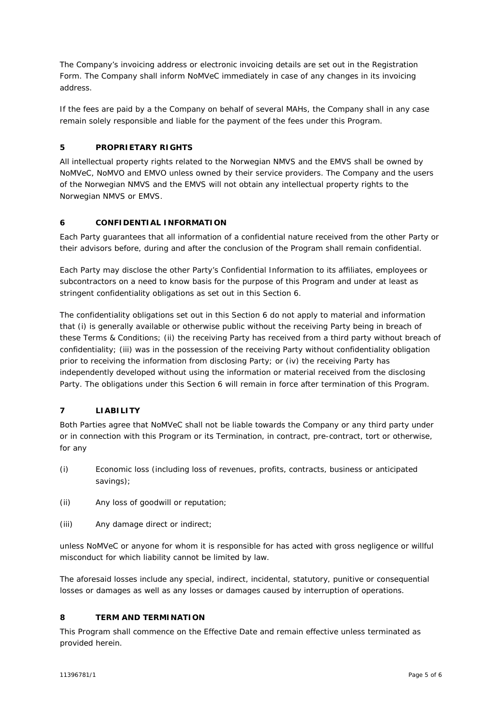The Company's invoicing address or electronic invoicing details are set out in the Registration Form. The Company shall inform NoMVeC immediately in case of any changes in its invoicing address.

If the fees are paid by a the Company on behalf of several MAHs, the Company shall in any case remain solely responsible and liable for the payment of the fees under this Program.

# **5 PROPRIETARY RIGHTS**

All intellectual property rights related to the Norwegian NMVS and the EMVS shall be owned by NoMVeC, NoMVO and EMVO unless owned by their service providers. The Company and the users of the Norwegian NMVS and the EMVS will not obtain any intellectual property rights to the Norwegian NMVS or EMVS.

## <span id="page-4-0"></span>**6 CONFIDENTIAL INFORMATION**

Each Party guarantees that all information of a confidential nature received from the other Party or their advisors before, during and after the conclusion of the Program shall remain confidential.

Each Party may disclose the other Party's Confidential Information to its affiliates, employees or subcontractors on a need to know basis for the purpose of this Program and under at least as stringent confidentiality obligations as set out in this Section [6.](#page-4-0)

The confidentiality obligations set out in this Section [6](#page-4-0) do not apply to material and information that (i) is generally available or otherwise public without the receiving Party being in breach of these Terms & Conditions; (ii) the receiving Party has received from a third party without breach of confidentiality; (iii) was in the possession of the receiving Party without confidentiality obligation prior to receiving the information from disclosing Party; or (iv) the receiving Party has independently developed without using the information or material received from the disclosing Party. The obligations under this Section [6](#page-4-0) will remain in force after termination of this Program.

## **7 LIABILITY**

Both Parties agree that NoMVeC shall not be liable towards the Company or any third party under or in connection with this Program or its Termination, in contract, pre-contract, tort or otherwise, for any

- (i) Economic loss (including loss of revenues, profits, contracts, business or anticipated savings);
- (ii) Any loss of goodwill or reputation;
- (iii) Any damage direct or indirect;

unless NoMVeC or anyone for whom it is responsible for has acted with gross negligence or willful misconduct for which liability cannot be limited by law.

The aforesaid losses include any special, indirect, incidental, statutory, punitive or consequential losses or damages as well as any losses or damages caused by interruption of operations.

## **8 TERM AND TERMINATION**

This Program shall commence on the Effective Date and remain effective unless terminated as provided herein.